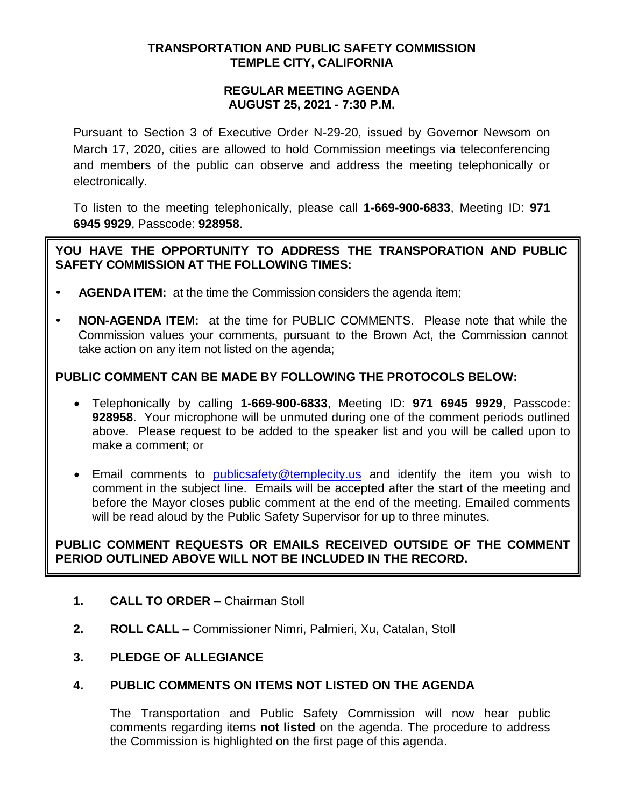#### **TRANSPORTATION AND PUBLIC SAFETY COMMISSION TEMPLE CITY, CALIFORNIA**

#### **REGULAR MEETING AGENDA AUGUST 25, 2021 - 7:30 P.M.**

Pursuant to Section 3 of Executive Order N-29-20, issued by Governor Newsom on March 17, 2020, cities are allowed to hold Commission meetings via teleconferencing and members of the public can observe and address the meeting telephonically or electronically.

To listen to the meeting telephonically, please call **1-669-900-6833**, Meeting ID: **971 6945 9929**, Passcode: **928958**.

### **YOU HAVE THE OPPORTUNITY TO ADDRESS THE TRANSPORATION AND PUBLIC SAFETY COMMISSION AT THE FOLLOWING TIMES:**

- **AGENDA ITEM:** at the time the Commission considers the agenda item;
- **NON-AGENDA ITEM:** at the time for PUBLIC COMMENTS. Please note that while the Commission values your comments, pursuant to the Brown Act, the Commission cannot take action on any item not listed on the agenda;

# **PUBLIC COMMENT CAN BE MADE BY FOLLOWING THE PROTOCOLS BELOW:**

- Telephonically by calling **1-669-900-6833**, Meeting ID: **971 6945 9929**, Passcode: **928958**. Your microphone will be unmuted during one of the comment periods outlined above. Please request to be added to the speaker list and you will be called upon to make a comment; or
- Email comments to [publicsafety@templecity.us](mailto:publicsafety@templecity.us) and identify the item you wish to comment in the subject line. Emails will be accepted after the start of the meeting and before the Mayor closes public comment at the end of the meeting. Emailed comments will be read aloud by the Public Safety Supervisor for up to three minutes.

# **PUBLIC COMMENT REQUESTS OR EMAILS RECEIVED OUTSIDE OF THE COMMENT PERIOD OUTLINED ABOVE WILL NOT BE INCLUDED IN THE RECORD.**

- **1. CALL TO ORDER –** Chairman Stoll
- **2. ROLL CALL –** Commissioner Nimri, Palmieri, Xu, Catalan, Stoll

#### **3. PLEDGE OF ALLEGIANCE**

#### **4. PUBLIC COMMENTS ON ITEMS NOT LISTED ON THE AGENDA**

The Transportation and Public Safety Commission will now hear public comments regarding items **not listed** on the agenda. The procedure to address the Commission is highlighted on the first page of this agenda.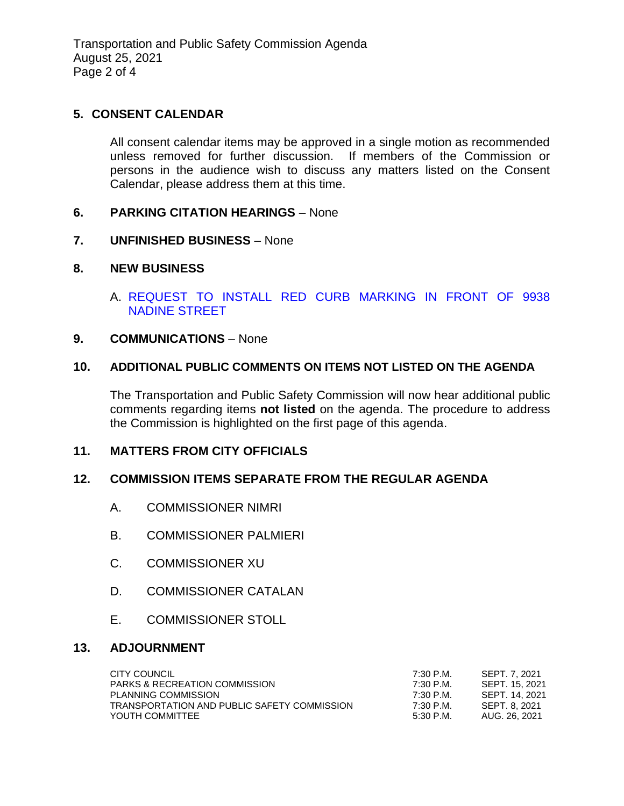Transportation and Public Safety Commission Agenda August 25, 2021 Page 2 of 4

### **5. CONSENT CALENDAR**

All consent calendar items may be approved in a single motion as recommended unless removed for further discussion. If members of the Commission or persons in the audience wish to discuss any matters listed on the Consent Calendar, please address them at this time.

#### **6. PARKING CITATION HEARINGS** – None

**7. UNFINISHED BUSINESS** – None

### **8. NEW BUSINESS**

A. [REQUEST TO INSTALL RED CURB MARKING IN FRONT OF 9938](/DocumentCenter/View/16647/REQUEST-TO-INSTALL-RED-CURB-MARKING--9938-NADINE)  [NADINE STREET](/DocumentCenter/View/16647/REQUEST-TO-INSTALL-RED-CURB-MARKING--9938-NADINE)

#### **9. COMMUNICATIONS** – None

#### **10. ADDITIONAL PUBLIC COMMENTS ON ITEMS NOT LISTED ON THE AGENDA**

The Transportation and Public Safety Commission will now hear additional public comments regarding items **not listed** on the agenda. The procedure to address the Commission is highlighted on the first page of this agenda.

### **11. MATTERS FROM CITY OFFICIALS**

#### **12. COMMISSION ITEMS SEPARATE FROM THE REGULAR AGENDA**

- A. COMMISSIONER NIMRI
- B. COMMISSIONER PALMIERI
- C. COMMISSIONER XU
- D. COMMISSIONER CATALAN
- E. COMMISSIONER STOLL

#### **13. ADJOURNMENT**

| CITY COUNCIL                                | 7:30 P.M.  | SEPT. 7. 2021  |
|---------------------------------------------|------------|----------------|
| <b>PARKS &amp; RECREATION COMMISSION</b>    | 7:30 P.M.  | SEPT. 15. 2021 |
| PLANNING COMMISSION                         | 7:30 P.M.  | SEPT. 14. 2021 |
| TRANSPORTATION AND PUBLIC SAFETY COMMISSION | 7:30 P.M.  | SEPT. 8. 2021  |
| YOUTH COMMITTEE                             | .5:30 P.M. | AUG. 26, 2021  |